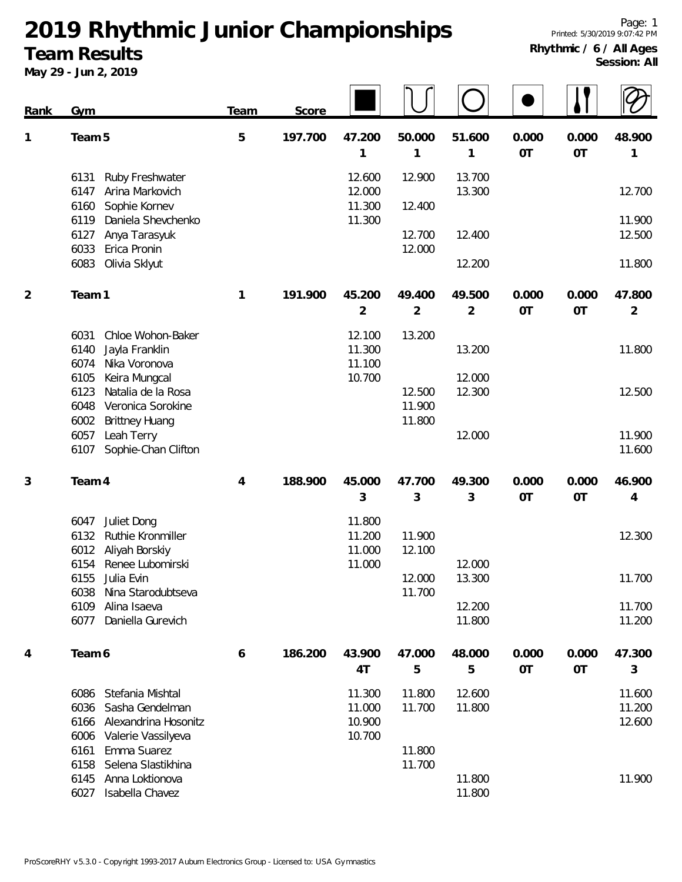**2019 Rhythmic Junior Championships**

## **Team Results**

**May 29 - Jun 2, 2019**

|             | May 29 - Jun 2, 2019                                                                                                                     |      |         |                                      |                            |                          |                    |                    |                            |
|-------------|------------------------------------------------------------------------------------------------------------------------------------------|------|---------|--------------------------------------|----------------------------|--------------------------|--------------------|--------------------|----------------------------|
| <b>Rank</b> | Gym                                                                                                                                      | Team | Score   |                                      |                            |                          |                    |                    |                            |
| 1           | Team 5                                                                                                                                   | 5    | 197.700 | 47.200<br>1                          | 50.000<br>1                | 51.600<br>1              | 0.000<br><b>OT</b> | 0.000<br>OT        | 48.900<br>1                |
|             | 6131<br>Ruby Freshwater<br>Arina Markovich<br>6147<br>Sophie Kornev<br>6160                                                              |      |         | 12.600<br>12.000<br>11.300           | 12.900<br>12.400           | 13.700<br>13.300         |                    |                    | 12.700                     |
|             | 6119<br>Daniela Shevchenko<br>Anya Tarasyuk<br>6127<br>6033<br>Erica Pronin                                                              |      |         | 11.300                               | 12.700<br>12.000           | 12.400                   |                    |                    | 11.900<br>12.500           |
|             | 6083<br>Olivia Sklyut                                                                                                                    |      |         |                                      |                            | 12.200                   |                    |                    | 11.800                     |
| 2           | Team 1                                                                                                                                   | 1    | 191.900 | 45.200<br>$\overline{2}$             | 49.400<br>2                | 49.500<br>$\overline{2}$ | 0.000<br><b>OT</b> | 0.000<br>OT        | 47.800<br>$\overline{2}$   |
|             | 6031<br>Chloe Wohon-Baker<br>Jayla Franklin<br>6140<br>6074<br>Nika Voronova                                                             |      |         | 12.100<br>11.300<br>11.100           | 13.200                     | 13.200                   |                    |                    | 11.800                     |
|             | 6105<br>Keira Mungcal<br>6123<br>Natalia de la Rosa<br>Veronica Sorokine<br>6048<br>6002<br><b>Brittney Huang</b>                        |      |         | 10.700                               | 12.500<br>11.900<br>11.800 | 12.000<br>12.300         |                    |                    | 12.500                     |
|             | 6057<br>Leah Terry<br>6107<br>Sophie-Chan Clifton                                                                                        |      |         |                                      |                            | 12.000                   |                    |                    | 11.900<br>11.600           |
| 3           | Team 4                                                                                                                                   | 4    | 188.900 | 45.000<br>3                          | 47.700<br>3                | 49.300<br>3              | 0.000<br><b>OT</b> | 0.000<br><b>OT</b> | 46.900<br>4                |
|             | 6047<br>Juliet Dong<br>6132<br>Ruthie Kronmiller<br>Aliyah Borskiy<br>6012                                                               |      |         | 11.800<br>11.200<br>11.000           | 11.900<br>12.100           |                          |                    |                    | 12.300                     |
|             | 6154<br>Renee Lubomirski<br>Julia Evin<br>6155<br>6038<br>Nina Starodubtseva                                                             |      |         | 11.000                               | 12.000<br>11.700           | 12.000<br>13.300         |                    |                    | 11.700                     |
|             | 6109<br>Alina Isaeva<br>Daniella Gurevich<br>6077                                                                                        |      |         |                                      |                            | 12.200<br>11.800         |                    |                    | 11.700<br>11.200           |
| 4           | Team 6                                                                                                                                   | 6    | 186.200 | 43.900<br>4T                         | 47.000<br>5                | 48.000<br>5              | 0.000<br><b>OT</b> | 0.000<br>OT        | 47.300<br>3                |
|             | Stefania Mishtal<br>6086<br>Sasha Gendelman<br>6036<br>Alexandrina Hosonitz<br>6166<br>6006<br>Valerie Vassilyeva<br>Emma Suarez<br>6161 |      |         | 11.300<br>11.000<br>10.900<br>10.700 | 11.800<br>11.700<br>11.800 | 12.600<br>11.800         |                    |                    | 11.600<br>11.200<br>12.600 |
|             | Selena Slastikhina<br>6158<br>6145<br>Anna Loktionova<br>6027 Isabella Chavez                                                            |      |         |                                      | 11.700                     | 11.800<br>11.800         |                    |                    | 11.900                     |